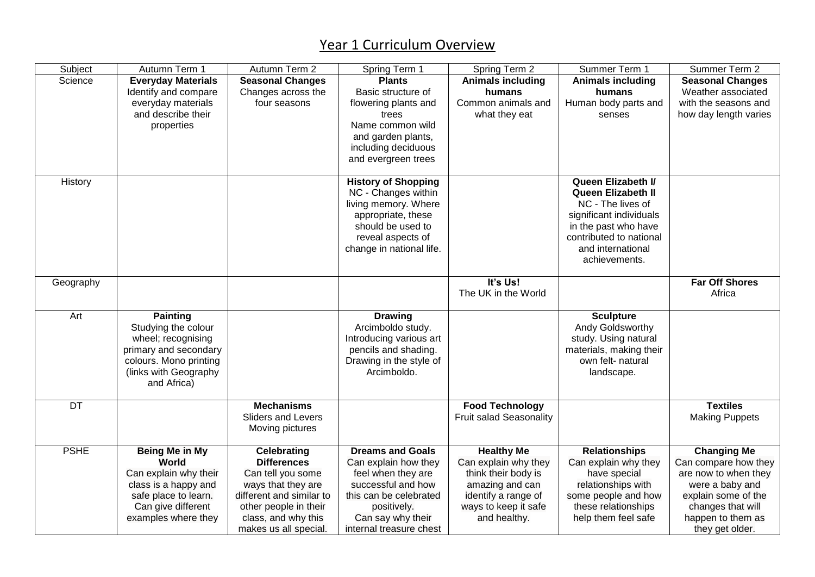## Year 1 Curriculum Overview

| Subject     | Autumn Term 1                  | Autumn Term 2                            | Spring Term 1                              | Spring Term 2                               | Summer Term 1                        | Summer Term 2           |
|-------------|--------------------------------|------------------------------------------|--------------------------------------------|---------------------------------------------|--------------------------------------|-------------------------|
| Science     | <b>Everyday Materials</b>      | <b>Seasonal Changes</b>                  | <b>Plants</b>                              | <b>Animals including</b>                    | <b>Animals including</b>             | <b>Seasonal Changes</b> |
|             | Identify and compare           | Changes across the                       | Basic structure of                         | humans                                      | humans                               | Weather associated      |
|             | everyday materials             | four seasons                             | flowering plants and                       | Common animals and                          | Human body parts and                 | with the seasons and    |
|             | and describe their             |                                          | trees                                      | what they eat                               | senses                               | how day length varies   |
|             | properties                     |                                          | Name common wild                           |                                             |                                      |                         |
|             |                                |                                          | and garden plants,                         |                                             |                                      |                         |
|             |                                |                                          | including deciduous                        |                                             |                                      |                         |
|             |                                |                                          | and evergreen trees                        |                                             |                                      |                         |
|             |                                |                                          |                                            |                                             |                                      |                         |
| History     |                                |                                          | <b>History of Shopping</b>                 |                                             | Queen Elizabeth I/                   |                         |
|             |                                |                                          | NC - Changes within                        |                                             | <b>Queen Elizabeth II</b>            |                         |
|             |                                |                                          | living memory. Where                       |                                             | NC - The lives of                    |                         |
|             |                                |                                          | appropriate, these                         |                                             | significant individuals              |                         |
|             |                                |                                          | should be used to                          |                                             | in the past who have                 |                         |
|             |                                |                                          | reveal aspects of                          |                                             | contributed to national              |                         |
|             |                                |                                          | change in national life.                   |                                             | and international                    |                         |
|             |                                |                                          |                                            |                                             | achievements.                        |                         |
|             |                                |                                          |                                            |                                             |                                      |                         |
| Geography   |                                |                                          |                                            | It's Us!                                    |                                      | <b>Far Off Shores</b>   |
|             |                                |                                          |                                            | The UK in the World                         |                                      | Africa                  |
|             |                                |                                          |                                            |                                             |                                      |                         |
| Art         | <b>Painting</b>                |                                          | <b>Drawing</b>                             |                                             | <b>Sculpture</b>                     |                         |
|             | Studying the colour            |                                          | Arcimboldo study.                          |                                             | Andy Goldsworthy                     |                         |
|             | wheel; recognising             |                                          | Introducing various art                    |                                             | study. Using natural                 |                         |
|             | primary and secondary          |                                          | pencils and shading.                       |                                             | materials, making their              |                         |
|             | colours. Mono printing         |                                          | Drawing in the style of                    |                                             | own felt- natural                    |                         |
|             | (links with Geography          |                                          | Arcimboldo.                                |                                             | landscape.                           |                         |
|             | and Africa)                    |                                          |                                            |                                             |                                      |                         |
|             |                                |                                          |                                            |                                             |                                      |                         |
| <b>DT</b>   |                                | <b>Mechanisms</b>                        |                                            | <b>Food Technology</b>                      |                                      | <b>Textiles</b>         |
|             |                                | Sliders and Levers                       |                                            | <b>Fruit salad Seasonality</b>              |                                      | <b>Making Puppets</b>   |
|             |                                | Moving pictures                          |                                            |                                             |                                      |                         |
| <b>PSHE</b> |                                |                                          | <b>Dreams and Goals</b>                    | <b>Healthy Me</b>                           |                                      | <b>Changing Me</b>      |
|             | <b>Being Me in My</b><br>World | <b>Celebrating</b><br><b>Differences</b> |                                            |                                             | <b>Relationships</b>                 | Can compare how they    |
|             |                                |                                          | Can explain how they<br>feel when they are | Can explain why they<br>think their body is | Can explain why they<br>have special | are now to when they    |
|             | Can explain why their          | Can tell you some                        | successful and how                         |                                             |                                      |                         |
|             | class is a happy and           | ways that they are                       |                                            | amazing and can                             | relationships with                   | were a baby and         |
|             | safe place to learn.           | different and similar to                 | this can be celebrated                     | identify a range of                         | some people and how                  | explain some of the     |
|             | Can give different             | other people in their                    | positively.                                | ways to keep it safe                        | these relationships                  | changes that will       |
|             | examples where they            | class, and why this                      | Can say why their                          | and healthy.                                | help them feel safe                  | happen to them as       |
|             |                                | makes us all special.                    | internal treasure chest                    |                                             |                                      | they get older.         |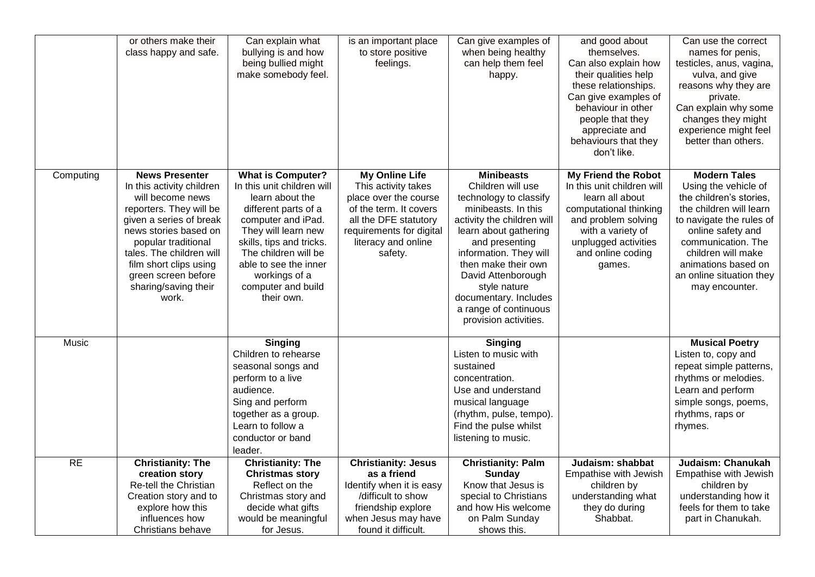|           | or others make their<br>class happy and safe.                                                                                                                                                                                                                                              | Can explain what<br>bullying is and how<br>being bullied might<br>make somebody feel.                                                                                                                                                                                            | is an important place<br>to store positive<br>feelings.                                                                                                                                | Can give examples of<br>when being healthy<br>can help them feel<br>happy.                                                                                                                                                                                                                                                         | and good about<br>themselves.<br>Can also explain how<br>their qualities help<br>these relationships.<br>Can give examples of<br>behaviour in other<br>people that they<br>appreciate and<br>behaviours that they<br>don't like. | Can use the correct<br>names for penis,<br>testicles, anus, vagina,<br>vulva, and give<br>reasons why they are<br>private.<br>Can explain why some<br>changes they might<br>experience might feel<br>better than others.                                            |
|-----------|--------------------------------------------------------------------------------------------------------------------------------------------------------------------------------------------------------------------------------------------------------------------------------------------|----------------------------------------------------------------------------------------------------------------------------------------------------------------------------------------------------------------------------------------------------------------------------------|----------------------------------------------------------------------------------------------------------------------------------------------------------------------------------------|------------------------------------------------------------------------------------------------------------------------------------------------------------------------------------------------------------------------------------------------------------------------------------------------------------------------------------|----------------------------------------------------------------------------------------------------------------------------------------------------------------------------------------------------------------------------------|---------------------------------------------------------------------------------------------------------------------------------------------------------------------------------------------------------------------------------------------------------------------|
| Computing | <b>News Presenter</b><br>In this activity children<br>will become news<br>reporters. They will be<br>given a series of break<br>news stories based on<br>popular traditional<br>tales. The children will<br>film short clips using<br>green screen before<br>sharing/saving their<br>work. | <b>What is Computer?</b><br>In this unit children will<br>learn about the<br>different parts of a<br>computer and iPad.<br>They will learn new<br>skills, tips and tricks.<br>The children will be<br>able to see the inner<br>workings of a<br>computer and build<br>their own. | <b>My Online Life</b><br>This activity takes<br>place over the course<br>of the term. It covers<br>all the DFE statutory<br>requirements for digital<br>literacy and online<br>safety. | <b>Minibeasts</b><br>Children will use<br>technology to classify<br>minibeasts. In this<br>activity the children will<br>learn about gathering<br>and presenting<br>information. They will<br>then make their own<br>David Attenborough<br>style nature<br>documentary. Includes<br>a range of continuous<br>provision activities. | <b>My Friend the Robot</b><br>In this unit children will<br>learn all about<br>computational thinking<br>and problem solving<br>with a variety of<br>unplugged activities<br>and online coding<br>games.                         | <b>Modern Tales</b><br>Using the vehicle of<br>the children's stories,<br>the children will learn<br>to navigate the rules of<br>online safety and<br>communication. The<br>children will make<br>animations based on<br>an online situation they<br>may encounter. |
| Music     |                                                                                                                                                                                                                                                                                            | <b>Singing</b><br>Children to rehearse<br>seasonal songs and<br>perform to a live<br>audience.<br>Sing and perform<br>together as a group.<br>Learn to follow a<br>conductor or band<br>leader.                                                                                  |                                                                                                                                                                                        | <b>Singing</b><br>Listen to music with<br>sustained<br>concentration.<br>Use and understand<br>musical language<br>(rhythm, pulse, tempo).<br>Find the pulse whilst<br>listening to music.                                                                                                                                         |                                                                                                                                                                                                                                  | <b>Musical Poetry</b><br>Listen to, copy and<br>repeat simple patterns,<br>rhythms or melodies.<br>Learn and perform<br>simple songs, poems,<br>rhythms, raps or<br>rhymes.                                                                                         |
| RE        | <b>Christianity: The</b><br>creation story<br>Re-tell the Christian<br>Creation story and to<br>explore how this<br>influences how<br>Christians behave                                                                                                                                    | <b>Christianity: The</b><br><b>Christmas story</b><br>Reflect on the<br>Christmas story and<br>decide what gifts<br>would be meaningful<br>for Jesus.                                                                                                                            | <b>Christianity: Jesus</b><br>as a friend<br>Identify when it is easy<br>/difficult to show<br>friendship explore<br>when Jesus may have<br>found it difficult.                        | <b>Christianity: Palm</b><br><b>Sunday</b><br>Know that Jesus is<br>special to Christians<br>and how His welcome<br>on Palm Sunday<br>shows this.                                                                                                                                                                                  | Judaism: shabbat<br>Empathise with Jewish<br>children by<br>understanding what<br>they do during<br>Shabbat.                                                                                                                     | Judaism: Chanukah<br>Empathise with Jewish<br>children by<br>understanding how it<br>feels for them to take<br>part in Chanukah.                                                                                                                                    |